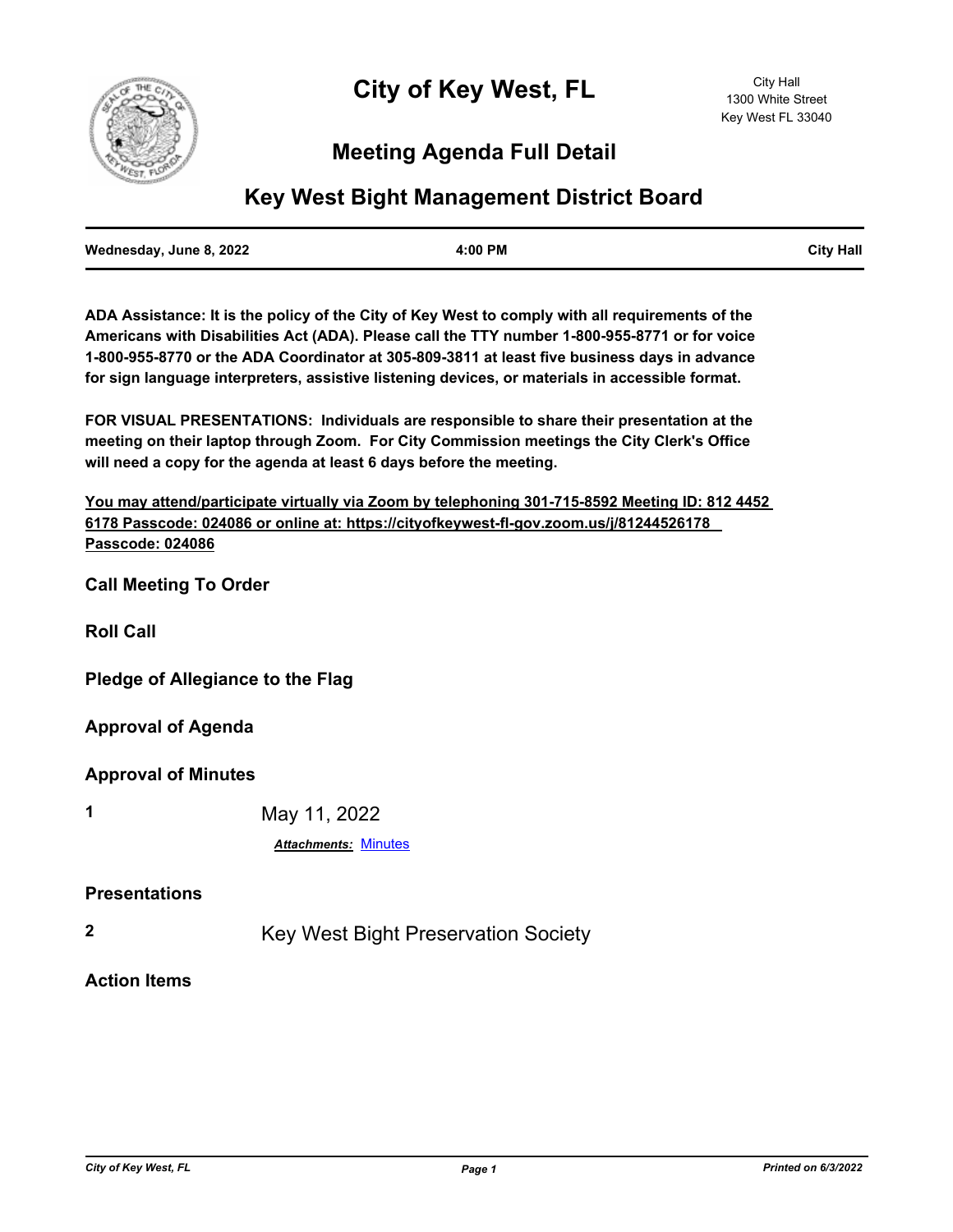

# **Meeting Agenda Full Detail**

# **Key West Bight Management District Board**

| Wednesday, June 8, 2022 | 4:00 PM | <b>City Hall</b> |
|-------------------------|---------|------------------|
|                         |         |                  |

**ADA Assistance: It is the policy of the City of Key West to comply with all requirements of the Americans with Disabilities Act (ADA). Please call the TTY number 1-800-955-8771 or for voice 1-800-955-8770 or the ADA Coordinator at 305-809-3811 at least five business days in advance for sign language interpreters, assistive listening devices, or materials in accessible format.**

**FOR VISUAL PRESENTATIONS: Individuals are responsible to share their presentation at the meeting on their laptop through Zoom. For City Commission meetings the City Clerk's Office will need a copy for the agenda at least 6 days before the meeting.**

**You may attend/participate virtually via Zoom by telephoning 301-715-8592 Meeting ID: 812 4452 6178 Passcode: 024086 or online at: https://cityofkeywest-fl-gov.zoom.us/j/81244526178 Passcode: 024086**

**Call Meeting To Order**

**Roll Call**

**Pledge of Allegiance to the Flag**

**Approval of Agenda**

**Approval of Minutes**

**1** May 11, 2022

*Attachments:* [Minutes](http://KeyWest.legistar.com/gateway.aspx?M=F&ID=d5170420-61b5-49f0-8c97-a1295c6579ed.pdf)

#### **Presentations**

**2** Key West Bight Preservation Society

**Action Items**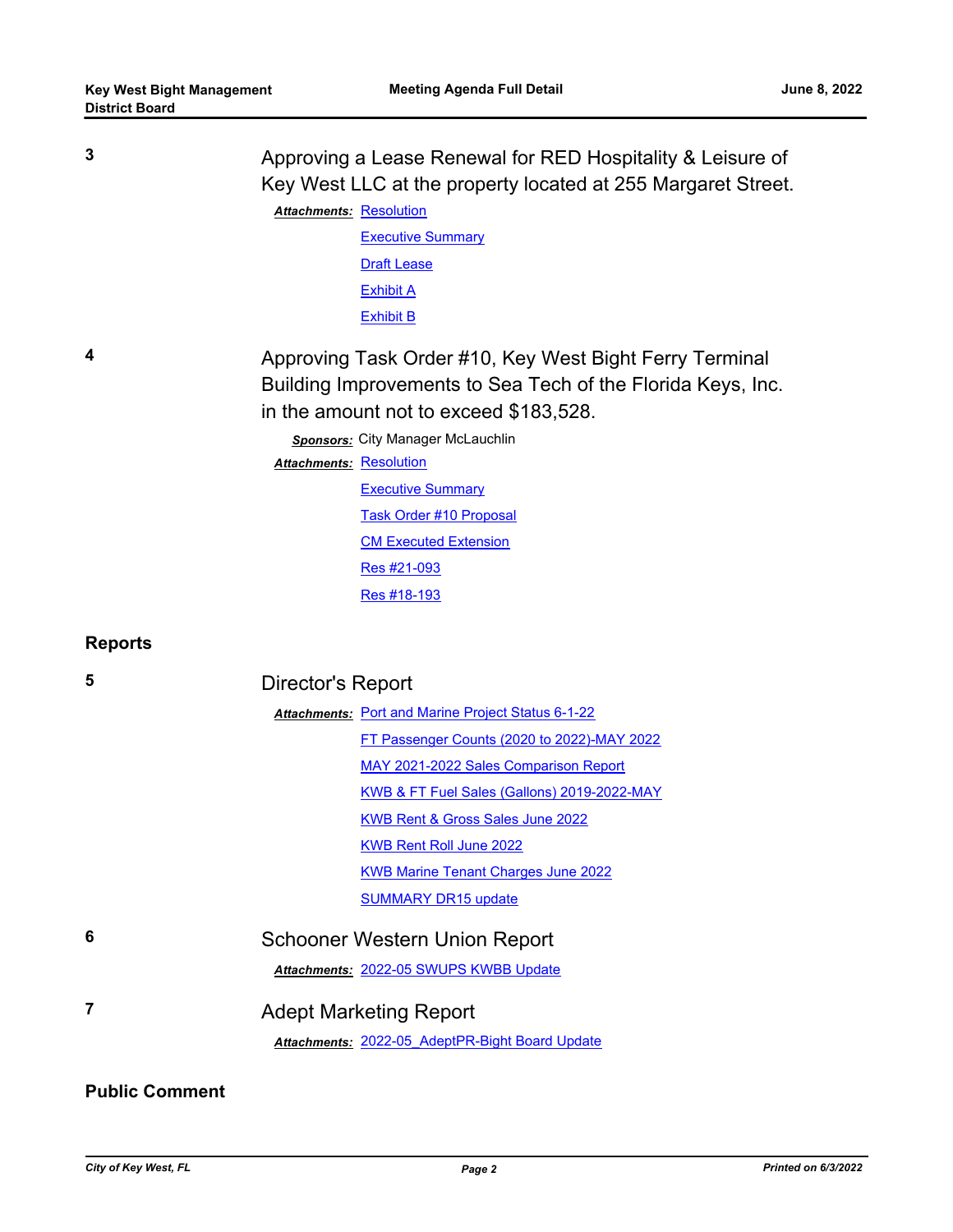| 3              | Approving a Lease Renewal for RED Hospitality & Leisure of<br>Key West LLC at the property located at 255 Margaret Street.<br><b>Attachments: Resolution</b><br><b>Executive Summary</b><br><b>Draft Lease</b><br><b>Exhibit A</b><br><b>Exhibit B</b>                                                                                                              |  |
|----------------|---------------------------------------------------------------------------------------------------------------------------------------------------------------------------------------------------------------------------------------------------------------------------------------------------------------------------------------------------------------------|--|
| 4              | Approving Task Order #10, Key West Bight Ferry Terminal<br>Building Improvements to Sea Tech of the Florida Keys, Inc.<br>in the amount not to exceed \$183,528.<br>Sponsors: City Manager McLauchlin<br><b>Attachments: Resolution</b><br><b>Executive Summary</b><br><b>Task Order #10 Proposal</b><br><b>CM Executed Extension</b><br>Res #21-093<br>Res #18-193 |  |
| <b>Reports</b> |                                                                                                                                                                                                                                                                                                                                                                     |  |
| 5              | Director's Report                                                                                                                                                                                                                                                                                                                                                   |  |
|                | <b>Attachments: Port and Marine Project Status 6-1-22</b>                                                                                                                                                                                                                                                                                                           |  |
|                | FT Passenger Counts (2020 to 2022)-MAY 2022                                                                                                                                                                                                                                                                                                                         |  |
|                | MAY 2021-2022 Sales Comparison Report                                                                                                                                                                                                                                                                                                                               |  |
|                | KWB & FT Fuel Sales (Gallons) 2019-2022-MAY                                                                                                                                                                                                                                                                                                                         |  |
|                | KWB Rent & Gross Sales June 2022                                                                                                                                                                                                                                                                                                                                    |  |
|                | <b>KWB Rent Roll June 2022</b>                                                                                                                                                                                                                                                                                                                                      |  |
|                | <b>KWB Marine Tenant Charges June 2022</b>                                                                                                                                                                                                                                                                                                                          |  |
|                | <b>SUMMARY DR15 update</b>                                                                                                                                                                                                                                                                                                                                          |  |
| 6              | <b>Schooner Western Union Report</b>                                                                                                                                                                                                                                                                                                                                |  |
|                | Attachments: 2022-05 SWUPS KWBB Update                                                                                                                                                                                                                                                                                                                              |  |
| $\overline{7}$ | <b>Adept Marketing Report</b><br>Attachments: 2022-05 AdeptPR-Bight Board Update                                                                                                                                                                                                                                                                                    |  |

## **Public Comment**